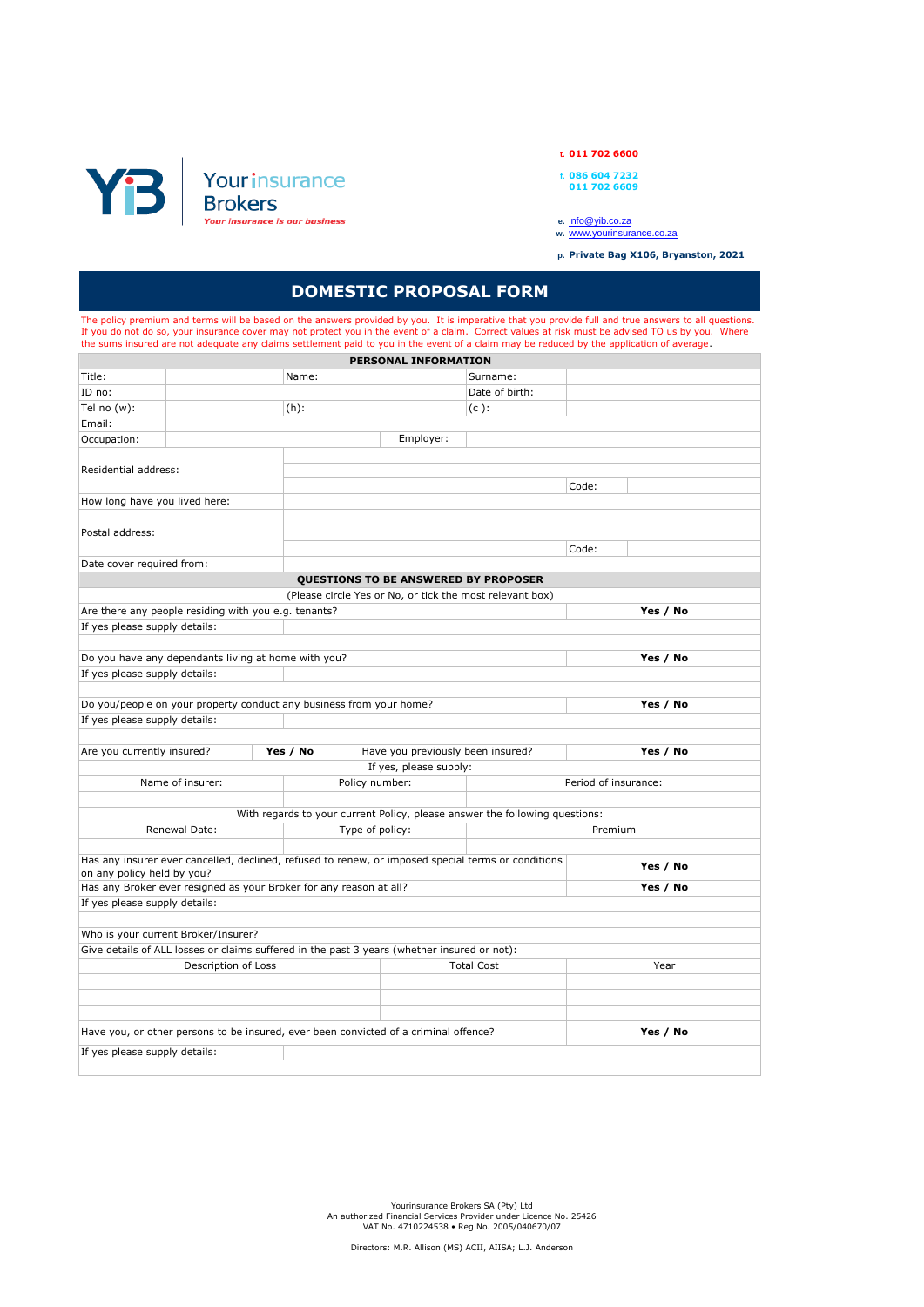

**t. 011 702 6600**

- **f. 086 604 7232 011 702 6609**
- 
- 
- **e.** [info@yib.co.za](mailto:info@yib.co.za) **w.** [www.yourinsurance.co.za](http://www.yourinsurance.co.za/)
- **p. Private Bag X106, Bryanston, 2021**

## **DOMESTIC PROPOSAL FORM**

The policy premium and terms will be based on the answers provided by you. It is imperative that you provide full and true answers to all questions.<br>If you do not do so, your insurance cover may not protect you in the even

| PERSONAL INFORMATION                                                                 |                                                                                                    |          |                 |                                   |                                                                             |                      |          |  |
|--------------------------------------------------------------------------------------|----------------------------------------------------------------------------------------------------|----------|-----------------|-----------------------------------|-----------------------------------------------------------------------------|----------------------|----------|--|
| Title:                                                                               |                                                                                                    | Name:    |                 |                                   | Surname:                                                                    |                      |          |  |
| ID no:                                                                               |                                                                                                    |          |                 |                                   | Date of birth:                                                              |                      |          |  |
| Tel no $(w)$ :                                                                       |                                                                                                    | $(h)$ :  |                 |                                   | $(c)$ :                                                                     |                      |          |  |
| Email:                                                                               |                                                                                                    |          |                 |                                   |                                                                             |                      |          |  |
| Occupation:                                                                          |                                                                                                    |          |                 | Employer:                         |                                                                             |                      |          |  |
|                                                                                      |                                                                                                    |          |                 |                                   |                                                                             |                      |          |  |
| Residential address:                                                                 |                                                                                                    |          |                 |                                   |                                                                             |                      |          |  |
|                                                                                      |                                                                                                    |          |                 |                                   |                                                                             | Code:                |          |  |
| How long have you lived here:                                                        |                                                                                                    |          |                 |                                   |                                                                             |                      |          |  |
|                                                                                      |                                                                                                    |          |                 |                                   |                                                                             |                      |          |  |
| Postal address:                                                                      |                                                                                                    |          |                 |                                   |                                                                             |                      |          |  |
|                                                                                      |                                                                                                    |          |                 |                                   |                                                                             | Code:                |          |  |
| Date cover required from:                                                            |                                                                                                    |          |                 |                                   |                                                                             |                      |          |  |
|                                                                                      |                                                                                                    |          |                 |                                   | QUESTIONS TO BE ANSWERED BY PROPOSER                                        |                      |          |  |
|                                                                                      |                                                                                                    |          |                 |                                   | (Please circle Yes or No, or tick the most relevant box)                    |                      |          |  |
|                                                                                      | Are there any people residing with you e.g. tenants?                                               |          |                 |                                   |                                                                             |                      | Yes / No |  |
| If yes please supply details:                                                        |                                                                                                    |          |                 |                                   |                                                                             |                      |          |  |
|                                                                                      |                                                                                                    |          |                 |                                   |                                                                             |                      |          |  |
|                                                                                      | Do you have any dependants living at home with you?                                                |          |                 |                                   |                                                                             |                      | Yes / No |  |
| If yes please supply details:                                                        |                                                                                                    |          |                 |                                   |                                                                             |                      |          |  |
|                                                                                      |                                                                                                    |          |                 |                                   |                                                                             |                      |          |  |
|                                                                                      | Do you/people on your property conduct any business from your home?                                |          |                 |                                   |                                                                             |                      | Yes / No |  |
| If yes please supply details:                                                        |                                                                                                    |          |                 |                                   |                                                                             |                      |          |  |
|                                                                                      |                                                                                                    |          |                 |                                   |                                                                             |                      |          |  |
| Are you currently insured?                                                           |                                                                                                    | Yes / No |                 | Have you previously been insured? |                                                                             |                      | Yes / No |  |
|                                                                                      |                                                                                                    |          |                 | If yes, please supply:            |                                                                             |                      |          |  |
|                                                                                      | Name of insurer:                                                                                   |          | Policy number:  |                                   |                                                                             | Period of insurance: |          |  |
|                                                                                      |                                                                                                    |          |                 |                                   |                                                                             |                      |          |  |
|                                                                                      |                                                                                                    |          |                 |                                   | With regards to your current Policy, please answer the following questions: |                      |          |  |
|                                                                                      | Renewal Date:                                                                                      |          | Type of policy: |                                   |                                                                             | Premium              |          |  |
|                                                                                      |                                                                                                    |          |                 |                                   |                                                                             |                      |          |  |
| on any policy held by you?                                                           | Has any insurer ever cancelled, declined, refused to renew, or imposed special terms or conditions |          |                 |                                   |                                                                             |                      | Yes / No |  |
|                                                                                      | Has any Broker ever resigned as your Broker for any reason at all?                                 |          |                 |                                   |                                                                             |                      | Yes / No |  |
| If yes please supply details:                                                        |                                                                                                    |          |                 |                                   |                                                                             |                      |          |  |
|                                                                                      |                                                                                                    |          |                 |                                   |                                                                             |                      |          |  |
|                                                                                      | Who is your current Broker/Insurer?                                                                |          |                 |                                   |                                                                             |                      |          |  |
|                                                                                      | Give details of ALL losses or claims suffered in the past 3 years (whether insured or not):        |          |                 |                                   |                                                                             |                      |          |  |
| Description of Loss                                                                  |                                                                                                    |          |                 |                                   | <b>Total Cost</b>                                                           |                      | Year     |  |
|                                                                                      |                                                                                                    |          |                 |                                   |                                                                             |                      |          |  |
|                                                                                      |                                                                                                    |          |                 |                                   |                                                                             |                      |          |  |
|                                                                                      |                                                                                                    |          |                 |                                   |                                                                             |                      |          |  |
| Have you, or other persons to be insured, ever been convicted of a criminal offence? |                                                                                                    |          |                 |                                   |                                                                             | Yes / No             |          |  |
| If yes please supply details:                                                        |                                                                                                    |          |                 |                                   |                                                                             |                      |          |  |
|                                                                                      |                                                                                                    |          |                 |                                   |                                                                             |                      |          |  |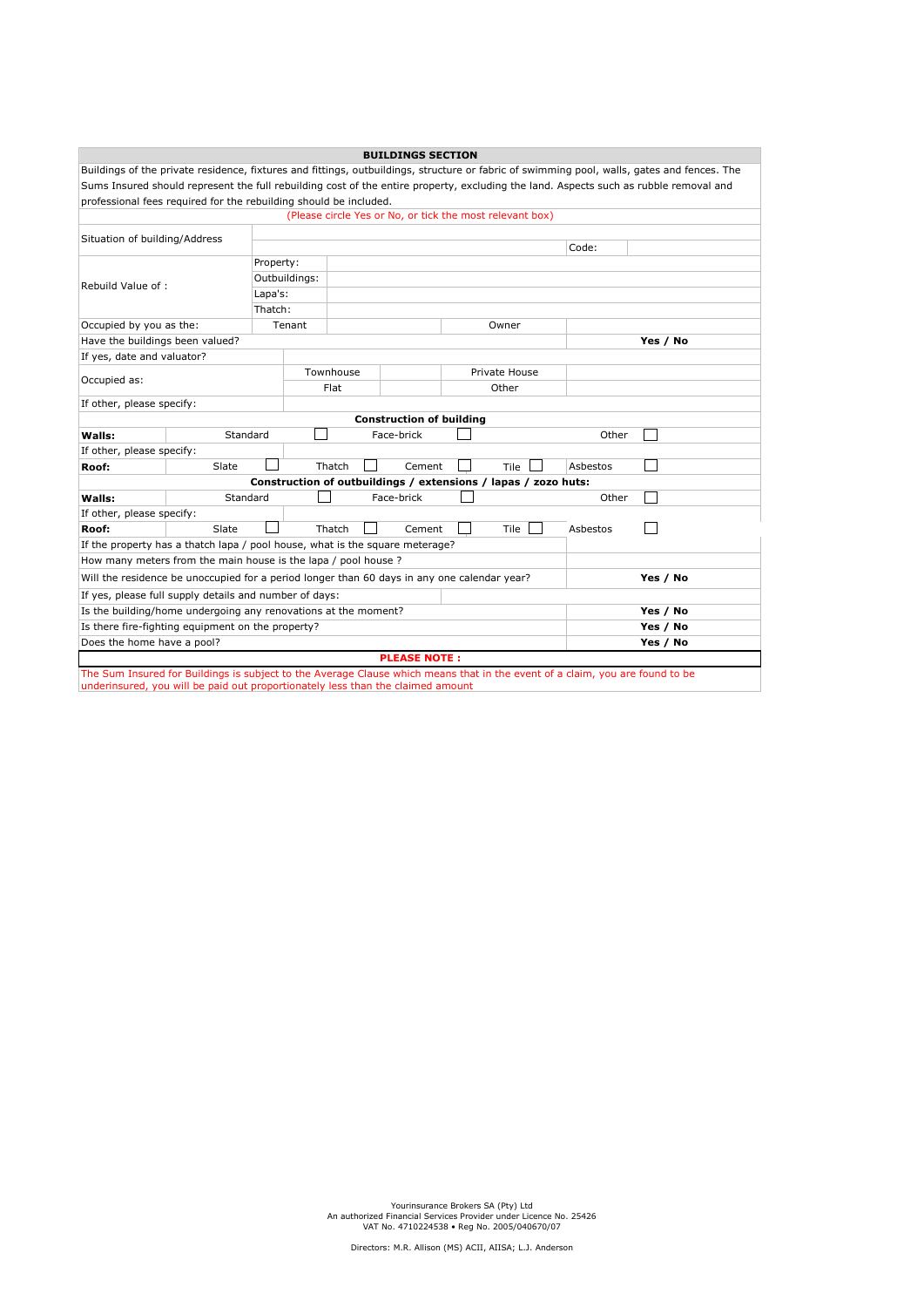| <b>BUILDINGS SECTION</b>                                                                                                                    |                                                                            |           |               |      |            |  |                                                                |          |                                                                                                                                       |
|---------------------------------------------------------------------------------------------------------------------------------------------|----------------------------------------------------------------------------|-----------|---------------|------|------------|--|----------------------------------------------------------------|----------|---------------------------------------------------------------------------------------------------------------------------------------|
| Buildings of the private residence, fixtures and fittings, outbuildings, structure or fabric of swimming pool, walls, gates and fences. The |                                                                            |           |               |      |            |  |                                                                |          |                                                                                                                                       |
|                                                                                                                                             |                                                                            |           |               |      |            |  |                                                                |          | Sums Insured should represent the full rebuilding cost of the entire property, excluding the land. Aspects such as rubble removal and |
|                                                                                                                                             | professional fees required for the rebuilding should be included.          |           |               |      |            |  |                                                                |          |                                                                                                                                       |
|                                                                                                                                             |                                                                            |           |               |      |            |  | (Please circle Yes or No, or tick the most relevant box)       |          |                                                                                                                                       |
|                                                                                                                                             | Situation of building/Address                                              |           |               |      |            |  |                                                                |          |                                                                                                                                       |
|                                                                                                                                             | Code:                                                                      |           |               |      |            |  |                                                                |          |                                                                                                                                       |
|                                                                                                                                             |                                                                            | Property: |               |      |            |  |                                                                |          |                                                                                                                                       |
| Rebuild Value of:                                                                                                                           |                                                                            |           | Outbuildings: |      |            |  |                                                                |          |                                                                                                                                       |
|                                                                                                                                             |                                                                            | Lapa's:   |               |      |            |  |                                                                |          |                                                                                                                                       |
|                                                                                                                                             |                                                                            | Thatch:   |               |      |            |  |                                                                |          |                                                                                                                                       |
| Occupied by you as the:                                                                                                                     |                                                                            |           | Tenant        |      |            |  | Owner                                                          |          |                                                                                                                                       |
| Have the buildings been valued?                                                                                                             |                                                                            |           |               |      |            |  |                                                                |          | Yes / No                                                                                                                              |
| If yes, date and valuator?                                                                                                                  |                                                                            |           |               |      |            |  |                                                                |          |                                                                                                                                       |
| Occupied as:                                                                                                                                |                                                                            |           | Townhouse     |      |            |  | Private House                                                  |          |                                                                                                                                       |
|                                                                                                                                             |                                                                            |           |               | Flat |            |  | Other                                                          |          |                                                                                                                                       |
| If other, please specify:                                                                                                                   |                                                                            |           |               |      |            |  |                                                                |          |                                                                                                                                       |
| <b>Construction of building</b>                                                                                                             |                                                                            |           |               |      |            |  |                                                                |          |                                                                                                                                       |
| Walls:                                                                                                                                      | Standard                                                                   |           |               |      | Face-brick |  |                                                                | Other    |                                                                                                                                       |
| If other, please specify:                                                                                                                   |                                                                            |           |               |      |            |  |                                                                |          |                                                                                                                                       |
| Roof:                                                                                                                                       | Slate                                                                      |           | Thatch        |      | Cement     |  | Tile                                                           | Asbestos |                                                                                                                                       |
|                                                                                                                                             |                                                                            |           |               |      |            |  | Construction of outbuildings / extensions / lapas / zozo huts: |          |                                                                                                                                       |
| Walls:                                                                                                                                      | Standard                                                                   |           |               |      | Face-brick |  |                                                                | Other    |                                                                                                                                       |
| If other, please specify:                                                                                                                   |                                                                            |           |               |      |            |  |                                                                |          |                                                                                                                                       |
| Roof:                                                                                                                                       | Slate                                                                      |           | Thatch        |      | Cement     |  | <b>Tile</b>                                                    | Asbestos |                                                                                                                                       |
| If the property has a thatch lapa / pool house, what is the square meterage?                                                                |                                                                            |           |               |      |            |  |                                                                |          |                                                                                                                                       |
| How many meters from the main house is the lapa / pool house ?                                                                              |                                                                            |           |               |      |            |  |                                                                |          |                                                                                                                                       |
| Will the residence be unoccupied for a period longer than 60 days in any one calendar year?<br>Yes / No                                     |                                                                            |           |               |      |            |  |                                                                |          |                                                                                                                                       |
| If yes, please full supply details and number of days:                                                                                      |                                                                            |           |               |      |            |  |                                                                |          |                                                                                                                                       |
|                                                                                                                                             | Is the building/home undergoing any renovations at the moment?<br>Yes / No |           |               |      |            |  |                                                                |          |                                                                                                                                       |
|                                                                                                                                             | Is there fire-fighting equipment on the property?<br>Yes / No              |           |               |      |            |  |                                                                |          |                                                                                                                                       |
| Does the home have a pool?<br>Yes / No                                                                                                      |                                                                            |           |               |      |            |  |                                                                |          |                                                                                                                                       |
| <b>PLEASE NOTE:</b>                                                                                                                         |                                                                            |           |               |      |            |  |                                                                |          |                                                                                                                                       |
| The Sum Insured for Buildings is subject to the Average Clause which means that in the event of a claim, you are found to be                |                                                                            |           |               |      |            |  |                                                                |          |                                                                                                                                       |
| underinsured, you will be paid out proportionately less than the claimed amount                                                             |                                                                            |           |               |      |            |  |                                                                |          |                                                                                                                                       |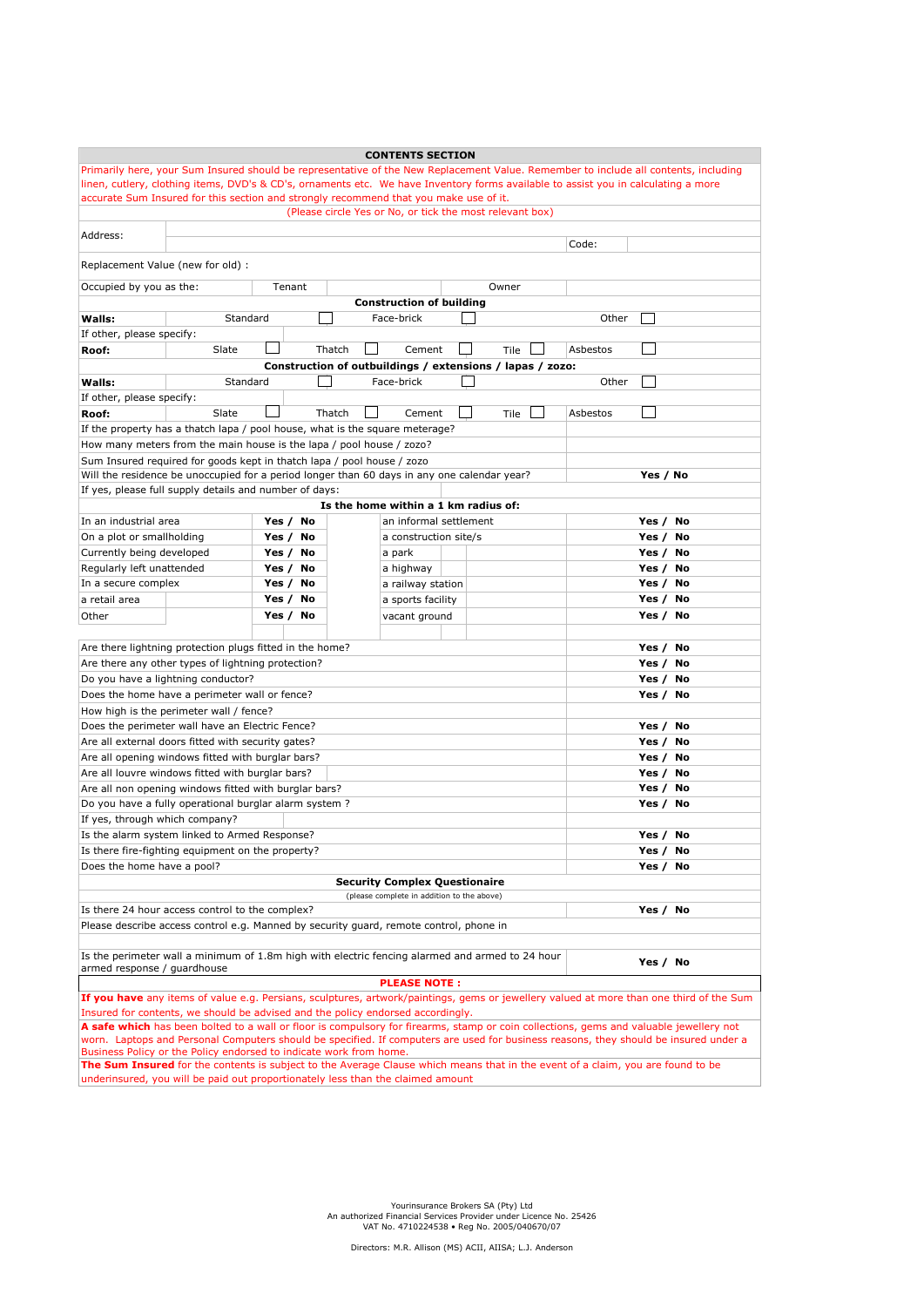| <b>CONTENTS SECTION</b>                                                                                                                    |                                                                                                                                                       |        |                                      |  |                                                          |          |          |  |  |
|--------------------------------------------------------------------------------------------------------------------------------------------|-------------------------------------------------------------------------------------------------------------------------------------------------------|--------|--------------------------------------|--|----------------------------------------------------------|----------|----------|--|--|
| Primarily here, your Sum Insured should be representative of the New Replacement Value. Remember to include all contents, including        |                                                                                                                                                       |        |                                      |  |                                                          |          |          |  |  |
| linen, cutlery, clothing items, DVD's & CD's, ornaments etc. We have Inventory forms available to assist you in calculating a more         |                                                                                                                                                       |        |                                      |  |                                                          |          |          |  |  |
| accurate Sum Insured for this section and strongly recommend that you make use of it.                                                      |                                                                                                                                                       |        |                                      |  |                                                          |          |          |  |  |
|                                                                                                                                            |                                                                                                                                                       |        |                                      |  | (Please circle Yes or No, or tick the most relevant box) |          |          |  |  |
| Address:                                                                                                                                   |                                                                                                                                                       |        |                                      |  |                                                          |          |          |  |  |
|                                                                                                                                            |                                                                                                                                                       |        |                                      |  |                                                          | Code:    |          |  |  |
| Replacement Value (new for old) :                                                                                                          |                                                                                                                                                       |        |                                      |  |                                                          |          |          |  |  |
|                                                                                                                                            |                                                                                                                                                       |        |                                      |  |                                                          |          |          |  |  |
| Occupied by you as the:                                                                                                                    | Tenant                                                                                                                                                |        |                                      |  | Owner                                                    |          |          |  |  |
|                                                                                                                                            |                                                                                                                                                       |        | <b>Construction of building</b>      |  |                                                          |          |          |  |  |
| Standard<br>Walls:                                                                                                                         |                                                                                                                                                       |        | Face-brick                           |  |                                                          | Other    |          |  |  |
| If other, please specify:                                                                                                                  |                                                                                                                                                       |        |                                      |  |                                                          |          |          |  |  |
| Slate<br>Roof:                                                                                                                             |                                                                                                                                                       | Thatch | Cement                               |  | Tile                                                     | Asbestos |          |  |  |
|                                                                                                                                            | Construction of outbuildings / extensions / lapas / zozo:                                                                                             |        |                                      |  |                                                          |          |          |  |  |
| Standard<br>Face-brick<br>Other<br>Walls:                                                                                                  |                                                                                                                                                       |        |                                      |  |                                                          |          |          |  |  |
| If other, please specify:                                                                                                                  |                                                                                                                                                       |        |                                      |  |                                                          |          |          |  |  |
| Slate<br>Roof:                                                                                                                             |                                                                                                                                                       | Thatch | Cement                               |  | Tile                                                     | Asbestos |          |  |  |
| If the property has a thatch lapa / pool house, what is the square meterage?                                                               |                                                                                                                                                       |        |                                      |  |                                                          |          |          |  |  |
| How many meters from the main house is the lapa / pool house / zozo?                                                                       |                                                                                                                                                       |        |                                      |  |                                                          |          |          |  |  |
| Sum Insured required for goods kept in thatch lapa / pool house / zozo                                                                     |                                                                                                                                                       |        |                                      |  |                                                          |          |          |  |  |
| Will the residence be unoccupied for a period longer than 60 days in any one calendar year?                                                |                                                                                                                                                       |        |                                      |  |                                                          |          | Yes / No |  |  |
| If yes, please full supply details and number of days:                                                                                     |                                                                                                                                                       |        |                                      |  |                                                          |          |          |  |  |
|                                                                                                                                            |                                                                                                                                                       |        | Is the home within a 1 km radius of: |  |                                                          |          |          |  |  |
| In an industrial area                                                                                                                      | Yes / No                                                                                                                                              |        | an informal settlement               |  |                                                          |          | Yes / No |  |  |
| On a plot or smallholding                                                                                                                  | Yes / No                                                                                                                                              |        |                                      |  |                                                          |          | Yes / No |  |  |
|                                                                                                                                            |                                                                                                                                                       |        | a construction site/s                |  |                                                          |          |          |  |  |
| Currently being developed                                                                                                                  | Yes /<br>No                                                                                                                                           |        | a park                               |  |                                                          |          | Yes / No |  |  |
| Regularly left unattended                                                                                                                  | Yes / No                                                                                                                                              |        | a highway                            |  |                                                          |          | Yes / No |  |  |
| In a secure complex                                                                                                                        | Yes /<br>No                                                                                                                                           |        | a railway station                    |  |                                                          |          | Yes / No |  |  |
| a retail area                                                                                                                              | Yes /<br>No                                                                                                                                           |        | a sports facility                    |  |                                                          |          | Yes / No |  |  |
| Other                                                                                                                                      | Yes / No                                                                                                                                              |        | vacant ground                        |  |                                                          |          | Yes / No |  |  |
|                                                                                                                                            |                                                                                                                                                       |        |                                      |  |                                                          |          |          |  |  |
| Are there lightning protection plugs fitted in the home?                                                                                   |                                                                                                                                                       |        |                                      |  |                                                          |          | Yes / No |  |  |
| Are there any other types of lightning protection?                                                                                         |                                                                                                                                                       |        |                                      |  |                                                          |          | Yes / No |  |  |
| Do you have a lightning conductor?                                                                                                         |                                                                                                                                                       |        |                                      |  |                                                          |          | Yes / No |  |  |
| Does the home have a perimeter wall or fence?                                                                                              |                                                                                                                                                       |        |                                      |  |                                                          |          | Yes / No |  |  |
| How high is the perimeter wall / fence?                                                                                                    |                                                                                                                                                       |        |                                      |  |                                                          |          |          |  |  |
| Does the perimeter wall have an Electric Fence?                                                                                            |                                                                                                                                                       |        |                                      |  |                                                          |          | Yes / No |  |  |
| Are all external doors fitted with security gates?                                                                                         |                                                                                                                                                       |        |                                      |  |                                                          |          | Yes / No |  |  |
| Are all opening windows fitted with burglar bars?                                                                                          |                                                                                                                                                       |        |                                      |  |                                                          |          | Yes / No |  |  |
| Are all louvre windows fitted with burglar bars?                                                                                           |                                                                                                                                                       |        |                                      |  |                                                          |          | Yes / No |  |  |
| Are all non opening windows fitted with burglar bars?                                                                                      |                                                                                                                                                       |        |                                      |  |                                                          |          | Yes / No |  |  |
| Do you have a fully operational burglar alarm system ?                                                                                     |                                                                                                                                                       |        |                                      |  |                                                          |          | Yes / No |  |  |
| If yes, through which company?                                                                                                             |                                                                                                                                                       |        |                                      |  |                                                          |          |          |  |  |
| Is the alarm system linked to Armed Response?                                                                                              |                                                                                                                                                       |        |                                      |  |                                                          |          | Yes / No |  |  |
|                                                                                                                                            |                                                                                                                                                       |        |                                      |  |                                                          |          |          |  |  |
| Is there fire-fighting equipment on the property?                                                                                          |                                                                                                                                                       |        |                                      |  |                                                          |          | Yes / No |  |  |
| Does the home have a pool?                                                                                                                 |                                                                                                                                                       |        |                                      |  |                                                          |          | Yes / No |  |  |
| <b>Security Complex Questionaire</b>                                                                                                       |                                                                                                                                                       |        |                                      |  |                                                          |          |          |  |  |
| (please complete in addition to the above)                                                                                                 |                                                                                                                                                       |        |                                      |  |                                                          |          |          |  |  |
|                                                                                                                                            | Is there 24 hour access control to the complex?<br>Yes / No<br>Please describe access control e.g. Manned by security guard, remote control, phone in |        |                                      |  |                                                          |          |          |  |  |
|                                                                                                                                            |                                                                                                                                                       |        |                                      |  |                                                          |          |          |  |  |
|                                                                                                                                            |                                                                                                                                                       |        |                                      |  |                                                          |          |          |  |  |
| Is the perimeter wall a minimum of 1.8m high with electric fencing alarmed and armed to 24 hour<br>Yes / No<br>armed response / guardhouse |                                                                                                                                                       |        |                                      |  |                                                          |          |          |  |  |
| <b>PLEASE NOTE:</b>                                                                                                                        |                                                                                                                                                       |        |                                      |  |                                                          |          |          |  |  |
| If you have any items of value e.g. Persians, sculptures, artwork/paintings, gems or jewellery valued at more than one third of the Sum    |                                                                                                                                                       |        |                                      |  |                                                          |          |          |  |  |
| Insured for contents, we should be advised and the policy endorsed accordingly.                                                            |                                                                                                                                                       |        |                                      |  |                                                          |          |          |  |  |
| A safe which has been bolted to a wall or floor is compulsory for firearms, stamp or coin collections, gems and valuable jewellery not     |                                                                                                                                                       |        |                                      |  |                                                          |          |          |  |  |
| worn. Laptops and Personal Computers should be specified. If computers are used for business reasons, they should be insured under a       |                                                                                                                                                       |        |                                      |  |                                                          |          |          |  |  |
| Business Policy or the Policy endorsed to indicate work from home.                                                                         |                                                                                                                                                       |        |                                      |  |                                                          |          |          |  |  |
| The Sum Insured for the contents is subject to the Average Clause which means that in the event of a claim, you are found to be            |                                                                                                                                                       |        |                                      |  |                                                          |          |          |  |  |
| underinsured, you will be paid out proportionately less than the claimed amount                                                            |                                                                                                                                                       |        |                                      |  |                                                          |          |          |  |  |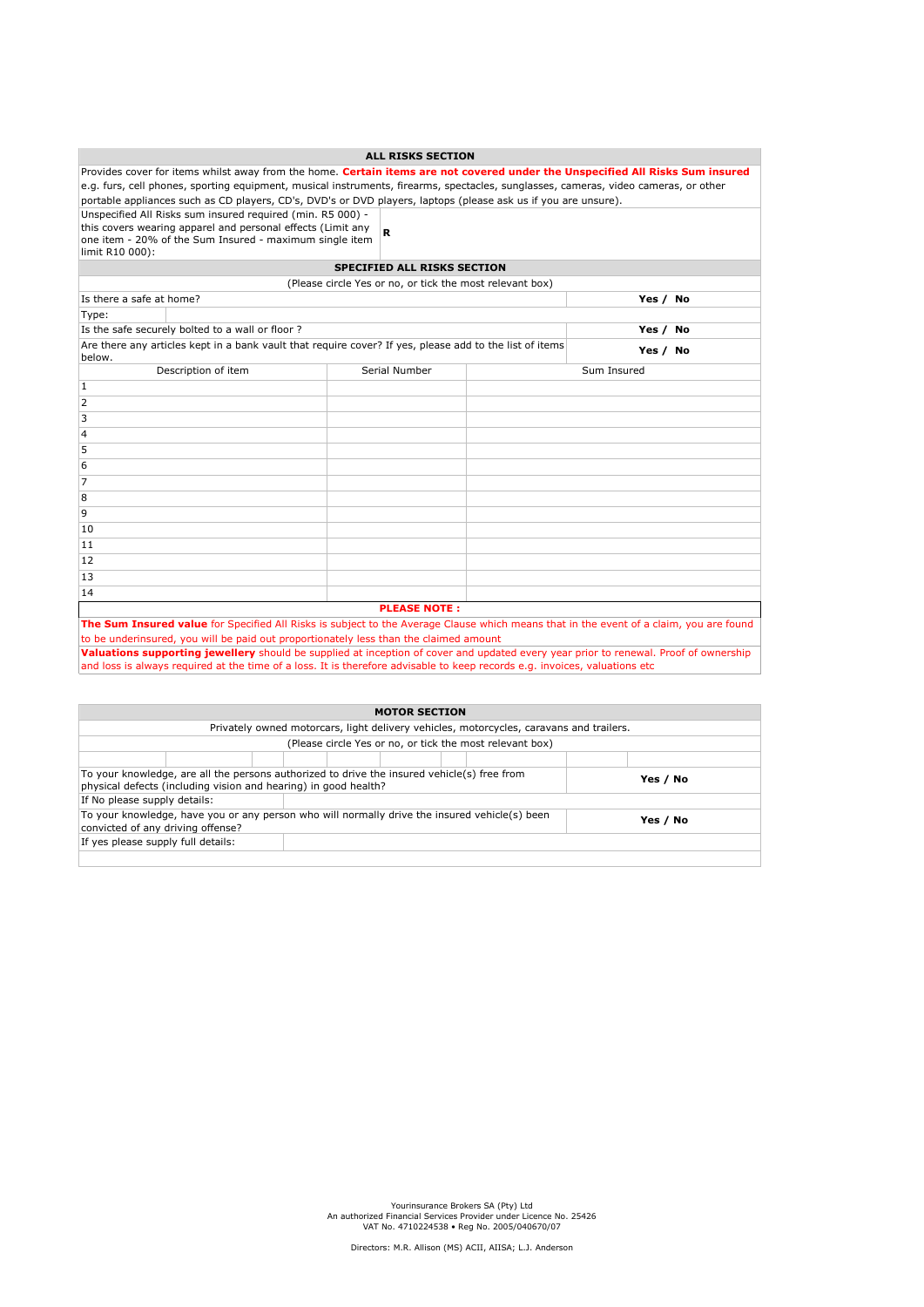|                                                                                                                                      |                                                                                                                                                                                      | <b>ALL RISKS SECTION</b>                                 |  |                                                                                                                                        |  |  |  |  |
|--------------------------------------------------------------------------------------------------------------------------------------|--------------------------------------------------------------------------------------------------------------------------------------------------------------------------------------|----------------------------------------------------------|--|----------------------------------------------------------------------------------------------------------------------------------------|--|--|--|--|
| Provides cover for items whilst away from the home. Certain items are not covered under the Unspecified All Risks Sum insured        |                                                                                                                                                                                      |                                                          |  |                                                                                                                                        |  |  |  |  |
| e.g. furs, cell phones, sporting equipment, musical instruments, firearms, spectacles, sunglasses, cameras, video cameras, or other  |                                                                                                                                                                                      |                                                          |  |                                                                                                                                        |  |  |  |  |
|                                                                                                                                      | portable appliances such as CD players, CD's, DVD's or DVD players, laptops (please ask us if you are unsure).                                                                       |                                                          |  |                                                                                                                                        |  |  |  |  |
| limit R10 000):                                                                                                                      | Unspecified All Risks sum insured required (min. R5 000) -<br>this covers wearing apparel and personal effects (Limit any<br>one item - 20% of the Sum Insured - maximum single item | R                                                        |  |                                                                                                                                        |  |  |  |  |
|                                                                                                                                      |                                                                                                                                                                                      | <b>SPECIFIED ALL RISKS SECTION</b>                       |  |                                                                                                                                        |  |  |  |  |
|                                                                                                                                      |                                                                                                                                                                                      | (Please circle Yes or no, or tick the most relevant box) |  |                                                                                                                                        |  |  |  |  |
| Is there a safe at home?                                                                                                             |                                                                                                                                                                                      |                                                          |  | Yes / No                                                                                                                               |  |  |  |  |
| Type:                                                                                                                                |                                                                                                                                                                                      |                                                          |  |                                                                                                                                        |  |  |  |  |
|                                                                                                                                      | Is the safe securely bolted to a wall or floor?                                                                                                                                      |                                                          |  | Yes / No                                                                                                                               |  |  |  |  |
| below.                                                                                                                               | Are there any articles kept in a bank vault that require cover? If yes, please add to the list of items                                                                              |                                                          |  | Yes / No                                                                                                                               |  |  |  |  |
|                                                                                                                                      | Description of item                                                                                                                                                                  | Serial Number                                            |  | Sum Insured                                                                                                                            |  |  |  |  |
| 1                                                                                                                                    |                                                                                                                                                                                      |                                                          |  |                                                                                                                                        |  |  |  |  |
| $\overline{2}$                                                                                                                       |                                                                                                                                                                                      |                                                          |  |                                                                                                                                        |  |  |  |  |
| 3                                                                                                                                    |                                                                                                                                                                                      |                                                          |  |                                                                                                                                        |  |  |  |  |
| $\overline{4}$                                                                                                                       |                                                                                                                                                                                      |                                                          |  |                                                                                                                                        |  |  |  |  |
| 5                                                                                                                                    |                                                                                                                                                                                      |                                                          |  |                                                                                                                                        |  |  |  |  |
| 6                                                                                                                                    |                                                                                                                                                                                      |                                                          |  |                                                                                                                                        |  |  |  |  |
| $\overline{7}$                                                                                                                       |                                                                                                                                                                                      |                                                          |  |                                                                                                                                        |  |  |  |  |
| 8                                                                                                                                    |                                                                                                                                                                                      |                                                          |  |                                                                                                                                        |  |  |  |  |
| 9                                                                                                                                    |                                                                                                                                                                                      |                                                          |  |                                                                                                                                        |  |  |  |  |
| 10                                                                                                                                   |                                                                                                                                                                                      |                                                          |  |                                                                                                                                        |  |  |  |  |
| 11                                                                                                                                   |                                                                                                                                                                                      |                                                          |  |                                                                                                                                        |  |  |  |  |
| 12                                                                                                                                   |                                                                                                                                                                                      |                                                          |  |                                                                                                                                        |  |  |  |  |
| 13                                                                                                                                   |                                                                                                                                                                                      |                                                          |  |                                                                                                                                        |  |  |  |  |
| 14                                                                                                                                   |                                                                                                                                                                                      |                                                          |  |                                                                                                                                        |  |  |  |  |
|                                                                                                                                      |                                                                                                                                                                                      | <b>PLEASE NOTE:</b>                                      |  |                                                                                                                                        |  |  |  |  |
|                                                                                                                                      |                                                                                                                                                                                      |                                                          |  | The Sum Insured value for Specified All Risks is subject to the Average Clause which means that in the event of a claim, you are found |  |  |  |  |
|                                                                                                                                      | to be underinsured, you will be paid out proportionately less than the claimed amount                                                                                                |                                                          |  |                                                                                                                                        |  |  |  |  |
| Valuations supporting jewellery should be supplied at inception of cover and updated every year prior to renewal. Proof of ownership |                                                                                                                                                                                      |                                                          |  |                                                                                                                                        |  |  |  |  |

and loss is always required at the time of a loss. It is therefore advisable to keep records e.g. invoices, valuations etc

| <b>MOTOR SECTION</b>                                                                                                                                           |          |          |  |  |  |  |  |
|----------------------------------------------------------------------------------------------------------------------------------------------------------------|----------|----------|--|--|--|--|--|
| Privately owned motorcars, light delivery vehicles, motorcycles, caravans and trailers.                                                                        |          |          |  |  |  |  |  |
| (Please circle Yes or no, or tick the most relevant box)                                                                                                       |          |          |  |  |  |  |  |
|                                                                                                                                                                |          |          |  |  |  |  |  |
| To your knowledge, are all the persons authorized to drive the insured vehicle(s) free from<br>physical defects (including vision and hearing) in good health? |          | Yes / No |  |  |  |  |  |
| If No please supply details:                                                                                                                                   |          |          |  |  |  |  |  |
| To your knowledge, have you or any person who will normally drive the insured vehicle(s) been<br>convicted of any driving offense?                             | Yes / No |          |  |  |  |  |  |
| If yes please supply full details:                                                                                                                             |          |          |  |  |  |  |  |
|                                                                                                                                                                |          |          |  |  |  |  |  |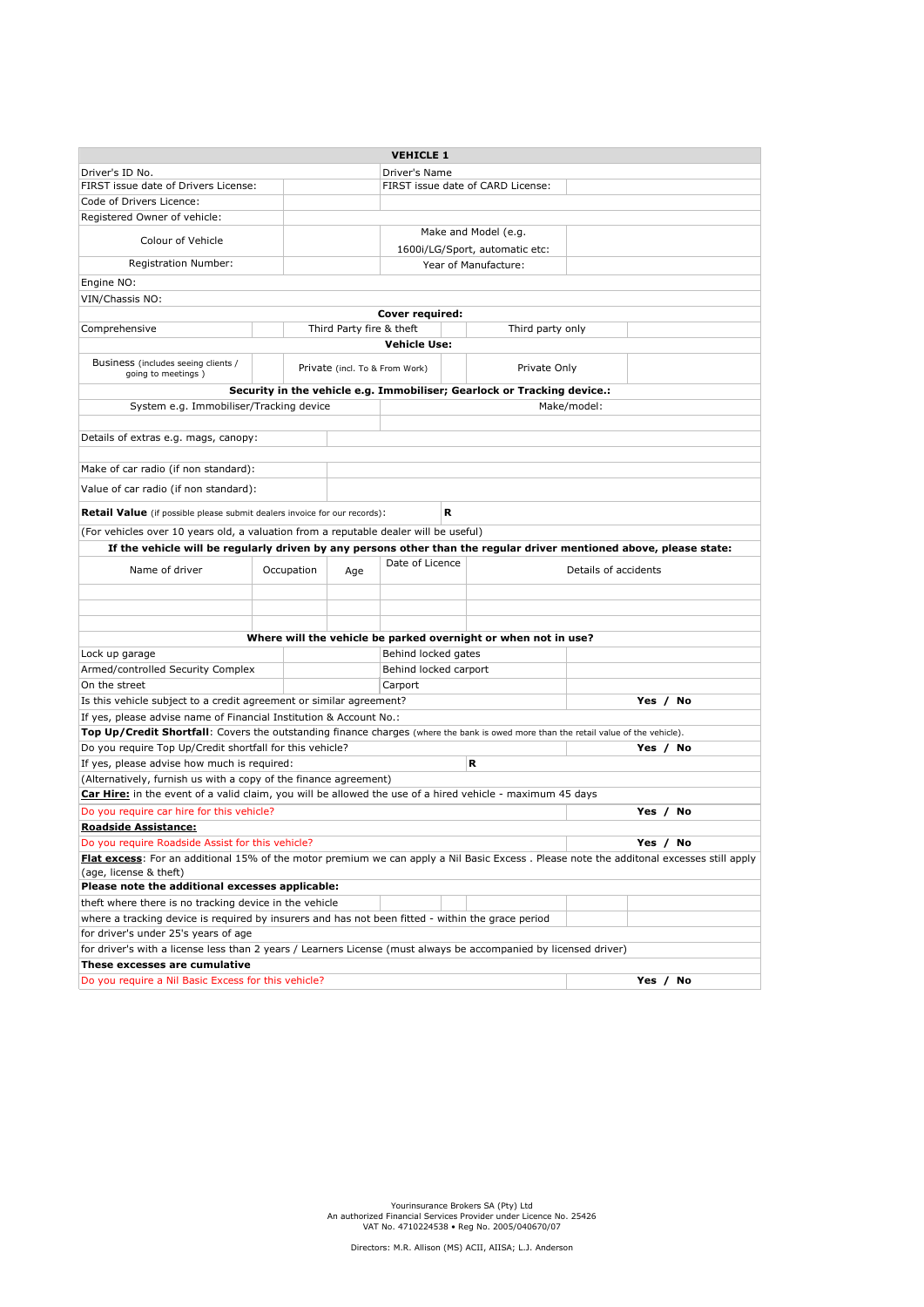|                                                                                                                                         |                                                        |                                | <b>VEHICLE 1</b>      |                                   |                                                                         |                      |  |  |
|-----------------------------------------------------------------------------------------------------------------------------------------|--------------------------------------------------------|--------------------------------|-----------------------|-----------------------------------|-------------------------------------------------------------------------|----------------------|--|--|
| Driver's Name<br>Driver's ID No.                                                                                                        |                                                        |                                |                       |                                   |                                                                         |                      |  |  |
|                                                                                                                                         | FIRST issue date of Drivers License:                   |                                |                       | FIRST issue date of CARD License: |                                                                         |                      |  |  |
| Code of Drivers Licence:                                                                                                                |                                                        |                                |                       |                                   |                                                                         |                      |  |  |
| Registered Owner of vehicle:                                                                                                            |                                                        |                                |                       |                                   |                                                                         |                      |  |  |
| Colour of Vehicle                                                                                                                       |                                                        |                                |                       |                                   | Make and Model (e.g.                                                    |                      |  |  |
|                                                                                                                                         |                                                        |                                |                       |                                   | 1600i/LG/Sport, automatic etc:                                          |                      |  |  |
| Registration Number:                                                                                                                    |                                                        |                                |                       |                                   | Year of Manufacture:                                                    |                      |  |  |
| Engine NO:                                                                                                                              |                                                        |                                |                       |                                   |                                                                         |                      |  |  |
| VIN/Chassis NO:                                                                                                                         |                                                        |                                |                       |                                   |                                                                         |                      |  |  |
|                                                                                                                                         |                                                        |                                | Cover required:       |                                   |                                                                         |                      |  |  |
| Comprehensive                                                                                                                           |                                                        | Third Party fire & theft       |                       |                                   | Third party only                                                        |                      |  |  |
|                                                                                                                                         |                                                        |                                | <b>Vehicle Use:</b>   |                                   |                                                                         |                      |  |  |
| Business (includes seeing clients /<br>going to meetings)                                                                               |                                                        | Private (incl. To & From Work) |                       |                                   | Private Only                                                            |                      |  |  |
|                                                                                                                                         |                                                        |                                |                       |                                   | Security in the vehicle e.g. Immobiliser; Gearlock or Tracking device.: |                      |  |  |
| System e.g. Immobiliser/Tracking device                                                                                                 |                                                        |                                |                       |                                   | Make/model:                                                             |                      |  |  |
|                                                                                                                                         |                                                        |                                |                       |                                   |                                                                         |                      |  |  |
| Details of extras e.g. mags, canopy:                                                                                                    |                                                        |                                |                       |                                   |                                                                         |                      |  |  |
| Make of car radio (if non standard):                                                                                                    |                                                        |                                |                       |                                   |                                                                         |                      |  |  |
| Value of car radio (if non standard):                                                                                                   |                                                        |                                |                       |                                   |                                                                         |                      |  |  |
| <b>Retail Value</b> (if possible please submit dealers invoice for our records):                                                        |                                                        |                                | R                     |                                   |                                                                         |                      |  |  |
| (For vehicles over 10 years old, a valuation from a reputable dealer will be useful)                                                    |                                                        |                                |                       |                                   |                                                                         |                      |  |  |
| If the vehicle will be regularly driven by any persons other than the regular driver mentioned above, please state:                     |                                                        |                                |                       |                                   |                                                                         |                      |  |  |
| Name of driver                                                                                                                          | Occupation                                             | Age                            | Date of Licence       |                                   |                                                                         | Details of accidents |  |  |
|                                                                                                                                         |                                                        |                                |                       |                                   |                                                                         |                      |  |  |
|                                                                                                                                         |                                                        |                                |                       |                                   |                                                                         |                      |  |  |
|                                                                                                                                         |                                                        |                                |                       |                                   |                                                                         |                      |  |  |
|                                                                                                                                         |                                                        |                                |                       |                                   | Where will the vehicle be parked overnight or when not in use?          |                      |  |  |
| Lock up garage                                                                                                                          |                                                        |                                | Behind locked gates   |                                   |                                                                         |                      |  |  |
| Armed/controlled Security Complex                                                                                                       |                                                        |                                | Behind locked carport |                                   |                                                                         |                      |  |  |
| On the street                                                                                                                           |                                                        |                                | Carport               |                                   |                                                                         |                      |  |  |
| Is this vehicle subject to a credit agreement or similar agreement?                                                                     |                                                        |                                |                       |                                   |                                                                         | Yes / No             |  |  |
| If yes, please advise name of Financial Institution & Account No.:                                                                      |                                                        |                                |                       |                                   |                                                                         |                      |  |  |
| Top Up/Credit Shortfall: Covers the outstanding finance charges (where the bank is owed more than the retail value of the vehicle).     |                                                        |                                |                       |                                   |                                                                         | Yes / No             |  |  |
| Do you require Top Up/Credit shortfall for this vehicle?<br>If yes, please advise how much is required:                                 |                                                        |                                |                       | R                                 |                                                                         |                      |  |  |
| (Alternatively, furnish us with a copy of the finance agreement)                                                                        |                                                        |                                |                       |                                   |                                                                         |                      |  |  |
| Car Hire: in the event of a valid claim, you will be allowed the use of a hired vehicle - maximum 45 days                               |                                                        |                                |                       |                                   |                                                                         |                      |  |  |
| Do you require car hire for this vehicle?                                                                                               |                                                        |                                |                       |                                   |                                                                         | Yes / No             |  |  |
| <b>Roadside Assistance:</b>                                                                                                             |                                                        |                                |                       |                                   |                                                                         |                      |  |  |
| Yes / No<br>Do you require Roadside Assist for this vehicle?                                                                            |                                                        |                                |                       |                                   |                                                                         |                      |  |  |
| Flat excess: For an additional 15% of the motor premium we can apply a Nil Basic Excess. Please note the additonal excesses still apply |                                                        |                                |                       |                                   |                                                                         |                      |  |  |
| (age, license & theft)                                                                                                                  |                                                        |                                |                       |                                   |                                                                         |                      |  |  |
| Please note the additional excesses applicable:                                                                                         |                                                        |                                |                       |                                   |                                                                         |                      |  |  |
|                                                                                                                                         | theft where there is no tracking device in the vehicle |                                |                       |                                   |                                                                         |                      |  |  |
| where a tracking device is required by insurers and has not been fitted - within the grace period                                       |                                                        |                                |                       |                                   |                                                                         |                      |  |  |
|                                                                                                                                         | for driver's under 25's years of age                   |                                |                       |                                   |                                                                         |                      |  |  |
| for driver's with a license less than 2 years / Learners License (must always be accompanied by licensed driver)                        |                                                        |                                |                       |                                   |                                                                         |                      |  |  |
| These excesses are cumulative                                                                                                           |                                                        |                                |                       |                                   |                                                                         |                      |  |  |
| Do you require a Nil Basic Excess for this vehicle?                                                                                     |                                                        |                                |                       |                                   |                                                                         | Yes / No             |  |  |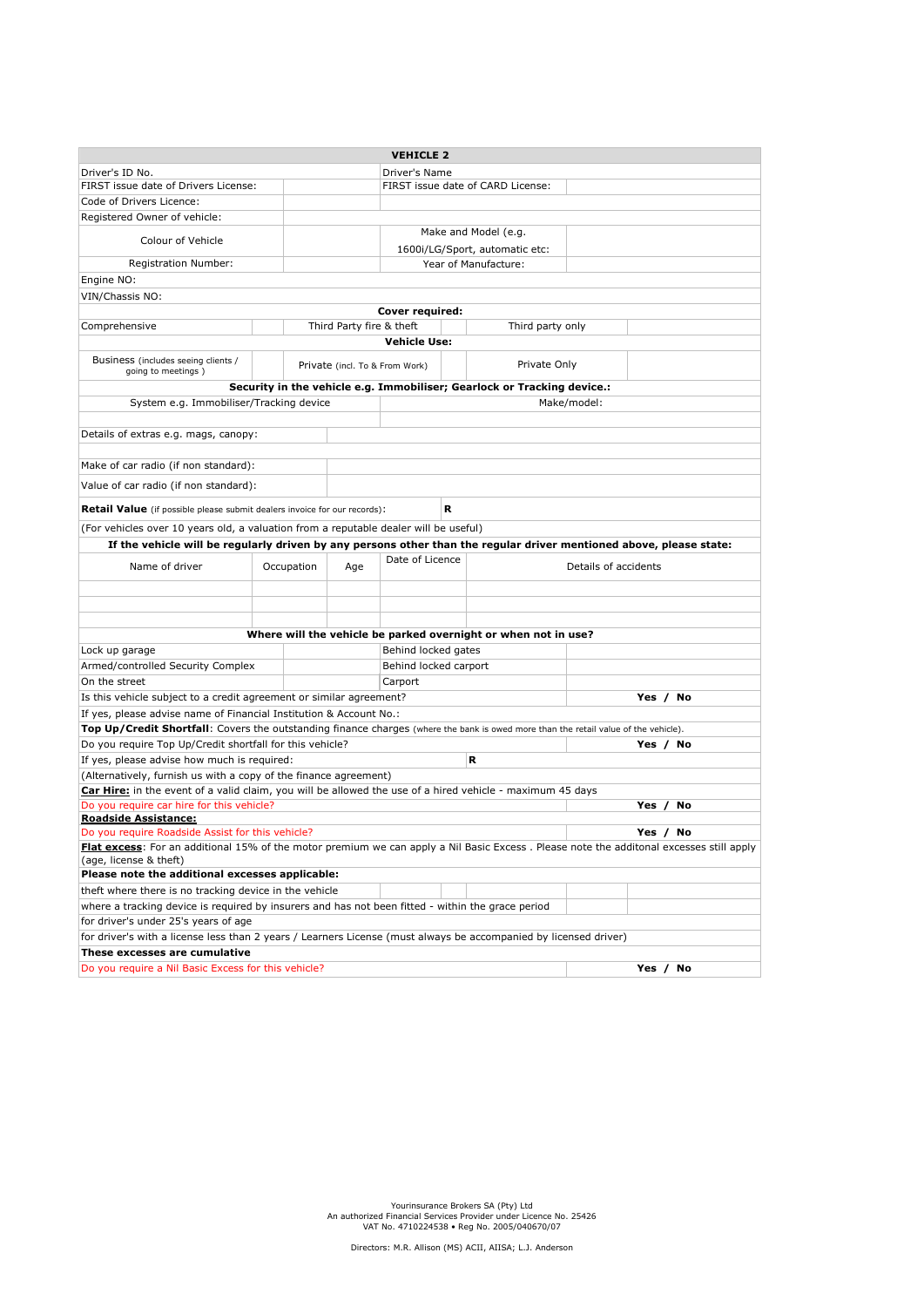|                                                                                                                                         |                                   |            |                                | <b>VEHICLE 2</b>      |   |                                                                         |                      |             |
|-----------------------------------------------------------------------------------------------------------------------------------------|-----------------------------------|------------|--------------------------------|-----------------------|---|-------------------------------------------------------------------------|----------------------|-------------|
| Driver's ID No.<br>Driver's Name                                                                                                        |                                   |            |                                |                       |   |                                                                         |                      |             |
| FIRST issue date of Drivers License:                                                                                                    | FIRST issue date of CARD License: |            |                                |                       |   |                                                                         |                      |             |
| Code of Drivers Licence:                                                                                                                |                                   |            |                                |                       |   |                                                                         |                      |             |
| Registered Owner of vehicle:                                                                                                            |                                   |            |                                |                       |   |                                                                         |                      |             |
| Colour of Vehicle                                                                                                                       |                                   |            |                                |                       |   | Make and Model (e.g.                                                    |                      |             |
| Registration Number:                                                                                                                    |                                   |            |                                |                       |   | 1600i/LG/Sport, automatic etc:<br>Year of Manufacture:                  |                      |             |
|                                                                                                                                         |                                   |            |                                |                       |   |                                                                         |                      |             |
| Engine NO:                                                                                                                              |                                   |            |                                |                       |   |                                                                         |                      |             |
| VIN/Chassis NO:                                                                                                                         |                                   |            |                                | Cover required:       |   |                                                                         |                      |             |
| Comprehensive                                                                                                                           |                                   |            | Third Party fire & theft       |                       |   | Third party only                                                        |                      |             |
|                                                                                                                                         |                                   |            |                                | <b>Vehicle Use:</b>   |   |                                                                         |                      |             |
|                                                                                                                                         |                                   |            |                                |                       |   |                                                                         |                      |             |
| Business (includes seeing clients /<br>going to meetings)                                                                               |                                   |            | Private (incl. To & From Work) |                       |   | Private Only                                                            |                      |             |
|                                                                                                                                         |                                   |            |                                |                       |   | Security in the vehicle e.g. Immobiliser; Gearlock or Tracking device.: |                      |             |
| System e.g. Immobiliser/Tracking device                                                                                                 |                                   |            |                                |                       |   |                                                                         | Make/model:          |             |
|                                                                                                                                         |                                   |            |                                |                       |   |                                                                         |                      |             |
| Details of extras e.g. mags, canopy:                                                                                                    |                                   |            |                                |                       |   |                                                                         |                      |             |
| Make of car radio (if non standard):                                                                                                    |                                   |            |                                |                       |   |                                                                         |                      |             |
| Value of car radio (if non standard):                                                                                                   |                                   |            |                                |                       |   |                                                                         |                      |             |
| <b>Retail Value</b> (if possible please submit dealers invoice for our records):                                                        |                                   |            |                                |                       | R |                                                                         |                      |             |
| (For vehicles over 10 years old, a valuation from a reputable dealer will be useful)                                                    |                                   |            |                                |                       |   |                                                                         |                      |             |
| If the vehicle will be regularly driven by any persons other than the regular driver mentioned above, please state:                     |                                   |            |                                |                       |   |                                                                         |                      |             |
| Name of driver                                                                                                                          |                                   | Occupation | Age                            | Date of Licence       |   |                                                                         | Details of accidents |             |
|                                                                                                                                         |                                   |            |                                |                       |   |                                                                         |                      |             |
|                                                                                                                                         |                                   |            |                                |                       |   |                                                                         |                      |             |
|                                                                                                                                         |                                   |            |                                |                       |   |                                                                         |                      |             |
|                                                                                                                                         |                                   |            |                                |                       |   |                                                                         |                      |             |
|                                                                                                                                         |                                   |            |                                |                       |   | Where will the vehicle be parked overnight or when not in use?          |                      |             |
| Lock up garage                                                                                                                          |                                   |            |                                | Behind locked gates   |   |                                                                         |                      |             |
| Armed/controlled Security Complex                                                                                                       |                                   |            |                                | Behind locked carport |   |                                                                         |                      |             |
| On the street                                                                                                                           |                                   |            |                                | Carport               |   |                                                                         |                      |             |
| Is this vehicle subject to a credit agreement or similar agreement?                                                                     |                                   |            |                                |                       |   |                                                                         |                      | Yes / No    |
| If yes, please advise name of Financial Institution & Account No.:                                                                      |                                   |            |                                |                       |   |                                                                         |                      |             |
| Top Up/Credit Shortfall: Covers the outstanding finance charges (where the bank is owed more than the retail value of the vehicle).     |                                   |            |                                |                       |   |                                                                         |                      |             |
| Do you require Top Up/Credit shortfall for this vehicle?                                                                                |                                   |            |                                |                       |   |                                                                         |                      | Yes / No    |
| If yes, please advise how much is required:                                                                                             |                                   |            |                                |                       |   | R                                                                       |                      |             |
| (Alternatively, furnish us with a copy of the finance agreement)                                                                        |                                   |            |                                |                       |   |                                                                         |                      |             |
| Car Hire: in the event of a valid claim, you will be allowed the use of a hired vehicle - maximum 45 days                               |                                   |            |                                |                       |   |                                                                         |                      |             |
| Do you require car hire for this vehicle?                                                                                               |                                   |            |                                |                       |   |                                                                         |                      | Yes /<br>No |
| <b>Roadside Assistance:</b><br>Do you require Roadside Assist for this vehicle?<br>Yes $/$<br>No                                        |                                   |            |                                |                       |   |                                                                         |                      |             |
| Flat excess: For an additional 15% of the motor premium we can apply a Nil Basic Excess. Please note the additonal excesses still apply |                                   |            |                                |                       |   |                                                                         |                      |             |
| (age, license & theft)<br>Please note the additional excesses applicable:                                                               |                                   |            |                                |                       |   |                                                                         |                      |             |
| theft where there is no tracking device in the vehicle                                                                                  |                                   |            |                                |                       |   |                                                                         |                      |             |
| where a tracking device is required by insurers and has not been fitted - within the grace period                                       |                                   |            |                                |                       |   |                                                                         |                      |             |
| for driver's under 25's years of age                                                                                                    |                                   |            |                                |                       |   |                                                                         |                      |             |
| for driver's with a license less than 2 years / Learners License (must always be accompanied by licensed driver)                        |                                   |            |                                |                       |   |                                                                         |                      |             |
| These excesses are cumulative                                                                                                           |                                   |            |                                |                       |   |                                                                         |                      |             |
| Do you require a Nil Basic Excess for this vehicle?                                                                                     |                                   |            |                                |                       |   |                                                                         |                      | Yes / No    |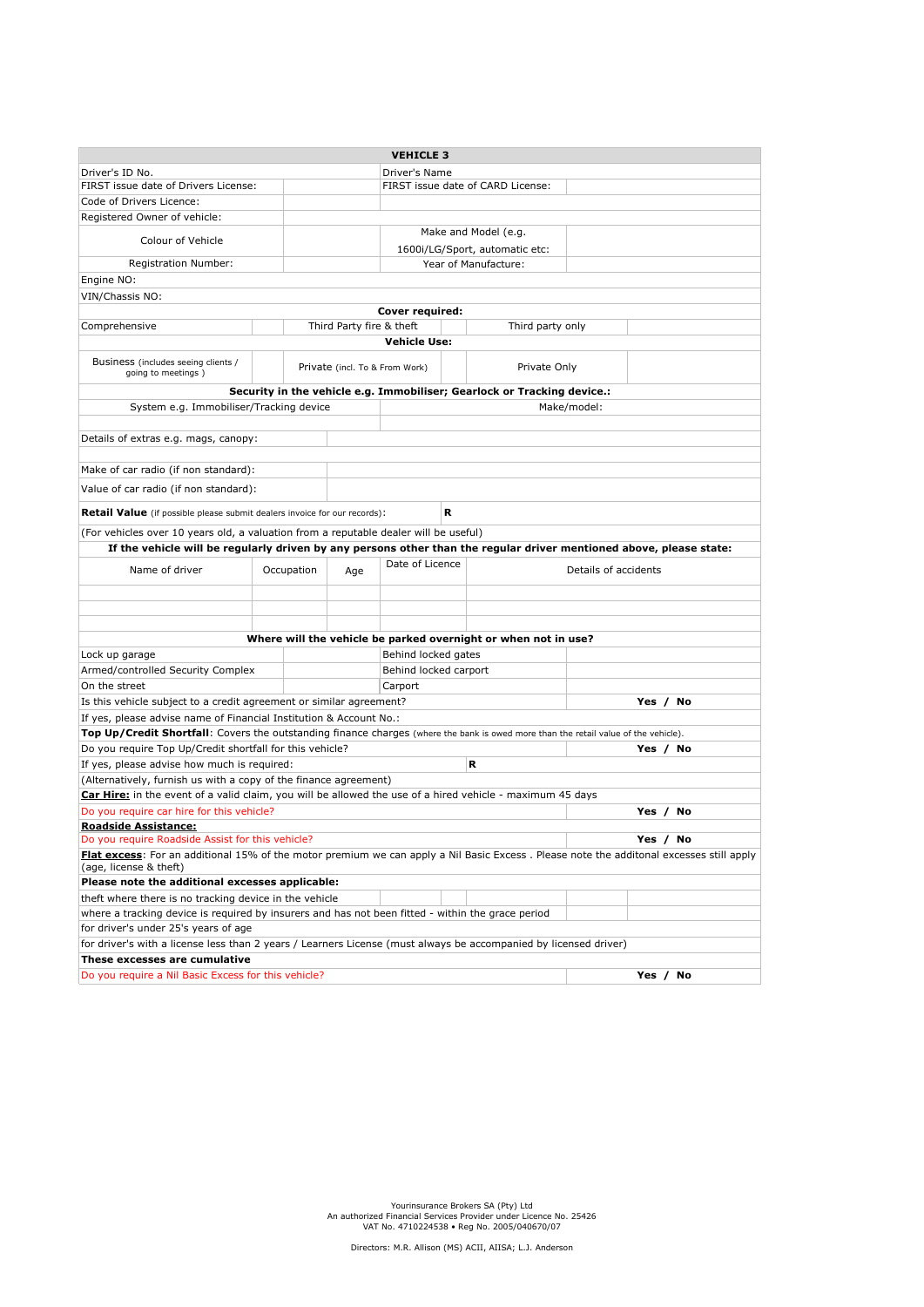|                                                                                                                                     |                                                                                                           |                                | <b>VEHICLE 3</b>      |                                   |                                                                         |                                                                                                                                         |  |
|-------------------------------------------------------------------------------------------------------------------------------------|-----------------------------------------------------------------------------------------------------------|--------------------------------|-----------------------|-----------------------------------|-------------------------------------------------------------------------|-----------------------------------------------------------------------------------------------------------------------------------------|--|
| Driver's ID No.<br>Driver's Name                                                                                                    |                                                                                                           |                                |                       |                                   |                                                                         |                                                                                                                                         |  |
| FIRST issue date of Drivers License:                                                                                                |                                                                                                           |                                |                       | FIRST issue date of CARD License: |                                                                         |                                                                                                                                         |  |
| Code of Drivers Licence:                                                                                                            |                                                                                                           |                                |                       |                                   |                                                                         |                                                                                                                                         |  |
| Registered Owner of vehicle:                                                                                                        |                                                                                                           |                                |                       |                                   |                                                                         |                                                                                                                                         |  |
| Colour of Vehicle                                                                                                                   |                                                                                                           |                                |                       |                                   | Make and Model (e.g.                                                    |                                                                                                                                         |  |
|                                                                                                                                     |                                                                                                           |                                |                       |                                   | 1600i/LG/Sport, automatic etc:                                          |                                                                                                                                         |  |
| Registration Number:                                                                                                                |                                                                                                           |                                |                       |                                   | Year of Manufacture:                                                    |                                                                                                                                         |  |
| Engine NO:                                                                                                                          |                                                                                                           |                                |                       |                                   |                                                                         |                                                                                                                                         |  |
| VIN/Chassis NO:                                                                                                                     |                                                                                                           |                                |                       |                                   |                                                                         |                                                                                                                                         |  |
| Cover required:                                                                                                                     |                                                                                                           |                                |                       |                                   |                                                                         |                                                                                                                                         |  |
| Comprehensive                                                                                                                       |                                                                                                           | Third Party fire & theft       |                       |                                   | Third party only                                                        |                                                                                                                                         |  |
|                                                                                                                                     |                                                                                                           |                                | <b>Vehicle Use:</b>   |                                   |                                                                         |                                                                                                                                         |  |
| Business (includes seeing clients /<br>going to meetings)                                                                           |                                                                                                           | Private (incl. To & From Work) |                       |                                   | Private Only                                                            |                                                                                                                                         |  |
|                                                                                                                                     |                                                                                                           |                                |                       |                                   | Security in the vehicle e.g. Immobiliser; Gearlock or Tracking device.: |                                                                                                                                         |  |
| System e.g. Immobiliser/Tracking device                                                                                             |                                                                                                           |                                |                       |                                   | Make/model:                                                             |                                                                                                                                         |  |
|                                                                                                                                     |                                                                                                           |                                |                       |                                   |                                                                         |                                                                                                                                         |  |
| Details of extras e.g. mags, canopy:                                                                                                |                                                                                                           |                                |                       |                                   |                                                                         |                                                                                                                                         |  |
| Make of car radio (if non standard):                                                                                                |                                                                                                           |                                |                       |                                   |                                                                         |                                                                                                                                         |  |
| Value of car radio (if non standard):                                                                                               |                                                                                                           |                                |                       |                                   |                                                                         |                                                                                                                                         |  |
| <b>Retail Value</b> (if possible please submit dealers invoice for our records):                                                    |                                                                                                           |                                |                       | R                                 |                                                                         |                                                                                                                                         |  |
| (For vehicles over 10 years old, a valuation from a reputable dealer will be useful)                                                |                                                                                                           |                                |                       |                                   |                                                                         |                                                                                                                                         |  |
|                                                                                                                                     |                                                                                                           |                                |                       |                                   |                                                                         | If the vehicle will be regularly driven by any persons other than the regular driver mentioned above, please state:                     |  |
| Name of driver                                                                                                                      | Occupation                                                                                                | Age                            | Date of Licence       |                                   |                                                                         | Details of accidents                                                                                                                    |  |
|                                                                                                                                     |                                                                                                           |                                |                       |                                   |                                                                         |                                                                                                                                         |  |
|                                                                                                                                     |                                                                                                           |                                |                       |                                   |                                                                         |                                                                                                                                         |  |
|                                                                                                                                     |                                                                                                           |                                |                       |                                   |                                                                         |                                                                                                                                         |  |
|                                                                                                                                     |                                                                                                           |                                |                       |                                   | Where will the vehicle be parked overnight or when not in use?          |                                                                                                                                         |  |
| Lock up garage                                                                                                                      |                                                                                                           |                                | Behind locked gates   |                                   |                                                                         |                                                                                                                                         |  |
| Armed/controlled Security Complex                                                                                                   |                                                                                                           |                                | Behind locked carport |                                   |                                                                         |                                                                                                                                         |  |
| On the street                                                                                                                       |                                                                                                           |                                | Carport               |                                   |                                                                         |                                                                                                                                         |  |
| Is this vehicle subject to a credit agreement or similar agreement?                                                                 |                                                                                                           |                                |                       |                                   |                                                                         | Yes / No                                                                                                                                |  |
| If yes, please advise name of Financial Institution & Account No.:                                                                  |                                                                                                           |                                |                       |                                   |                                                                         |                                                                                                                                         |  |
| Top Up/Credit Shortfall: Covers the outstanding finance charges (where the bank is owed more than the retail value of the vehicle). |                                                                                                           |                                |                       |                                   |                                                                         |                                                                                                                                         |  |
| Do you require Top Up/Credit shortfall for this vehicle?                                                                            |                                                                                                           |                                |                       |                                   |                                                                         | Yes / No                                                                                                                                |  |
| If yes, please advise how much is required:                                                                                         |                                                                                                           |                                |                       |                                   | R                                                                       |                                                                                                                                         |  |
| (Alternatively, furnish us with a copy of the finance agreement)                                                                    |                                                                                                           |                                |                       |                                   |                                                                         |                                                                                                                                         |  |
| Car Hire: in the event of a valid claim, you will be allowed the use of a hired vehicle - maximum 45 days                           |                                                                                                           |                                |                       |                                   |                                                                         |                                                                                                                                         |  |
| Do you require car hire for this vehicle?                                                                                           |                                                                                                           |                                |                       |                                   |                                                                         | Yes / No                                                                                                                                |  |
| <b>Roadside Assistance:</b>                                                                                                         |                                                                                                           |                                |                       |                                   |                                                                         |                                                                                                                                         |  |
| Do you require Roadside Assist for this vehicle?<br>Yes / No                                                                        |                                                                                                           |                                |                       |                                   |                                                                         |                                                                                                                                         |  |
|                                                                                                                                     |                                                                                                           |                                |                       |                                   |                                                                         | Flat excess: For an additional 15% of the motor premium we can apply a Nil Basic Excess. Please note the additonal excesses still apply |  |
| (age, license & theft)                                                                                                              |                                                                                                           |                                |                       |                                   |                                                                         |                                                                                                                                         |  |
|                                                                                                                                     | Please note the additional excesses applicable:<br>theft where there is no tracking device in the vehicle |                                |                       |                                   |                                                                         |                                                                                                                                         |  |
| where a tracking device is required by insurers and has not been fitted - within the grace period                                   |                                                                                                           |                                |                       |                                   |                                                                         |                                                                                                                                         |  |
| for driver's under 25's years of age                                                                                                |                                                                                                           |                                |                       |                                   |                                                                         |                                                                                                                                         |  |
| for driver's with a license less than 2 years / Learners License (must always be accompanied by licensed driver)                    |                                                                                                           |                                |                       |                                   |                                                                         |                                                                                                                                         |  |
| These excesses are cumulative                                                                                                       |                                                                                                           |                                |                       |                                   |                                                                         |                                                                                                                                         |  |
| Do you require a Nil Basic Excess for this vehicle?                                                                                 |                                                                                                           |                                |                       |                                   |                                                                         | Yes / No                                                                                                                                |  |
|                                                                                                                                     |                                                                                                           |                                |                       |                                   |                                                                         |                                                                                                                                         |  |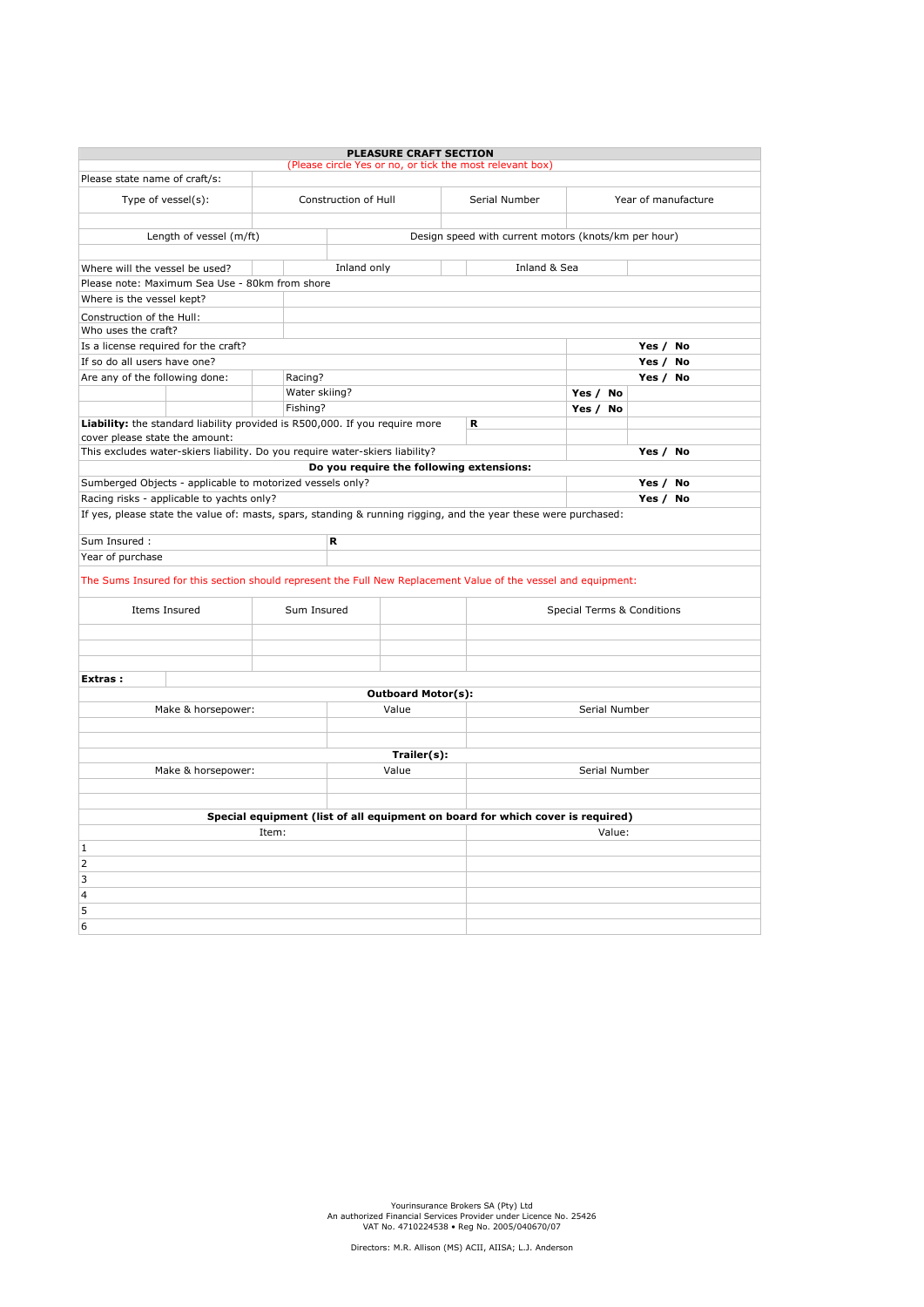|                                                                                                                 |               | <b>PLEASURE CRAFT SECTION</b><br>(Please circle Yes or no, or tick the most relevant box) |  |               |                            |                     |  |  |  |  |
|-----------------------------------------------------------------------------------------------------------------|---------------|-------------------------------------------------------------------------------------------|--|---------------|----------------------------|---------------------|--|--|--|--|
| Please state name of craft/s:                                                                                   |               |                                                                                           |  |               |                            |                     |  |  |  |  |
| Type of vessel(s):                                                                                              |               | Construction of Hull                                                                      |  | Serial Number |                            | Year of manufacture |  |  |  |  |
| Length of vessel (m/ft)<br>Design speed with current motors (knots/km per hour)                                 |               |                                                                                           |  |               |                            |                     |  |  |  |  |
|                                                                                                                 |               |                                                                                           |  |               |                            |                     |  |  |  |  |
| Where will the vessel be used?                                                                                  |               | Inland only                                                                               |  | Inland & Sea  |                            |                     |  |  |  |  |
| Please note: Maximum Sea Use - 80km from shore                                                                  |               |                                                                                           |  |               |                            |                     |  |  |  |  |
| Where is the vessel kept?                                                                                       |               |                                                                                           |  |               |                            |                     |  |  |  |  |
| Construction of the Hull:                                                                                       |               |                                                                                           |  |               |                            |                     |  |  |  |  |
| Who uses the craft?                                                                                             |               |                                                                                           |  |               |                            |                     |  |  |  |  |
| Is a license required for the craft?                                                                            |               |                                                                                           |  |               |                            | Yes / No            |  |  |  |  |
| If so do all users have one?                                                                                    |               |                                                                                           |  |               |                            | Yes / No            |  |  |  |  |
| Are any of the following done:                                                                                  | Racing?       |                                                                                           |  |               |                            | Yes / No            |  |  |  |  |
|                                                                                                                 | Water skiing? |                                                                                           |  |               | Yes / No                   |                     |  |  |  |  |
|                                                                                                                 | Fishing?      |                                                                                           |  |               | Yes / No                   |                     |  |  |  |  |
| Liability: the standard liability provided is R500,000. If you require more<br>cover please state the amount:   |               |                                                                                           |  | R             |                            |                     |  |  |  |  |
| This excludes water-skiers liability. Do you require water-skiers liability?                                    |               |                                                                                           |  |               |                            | Yes / No            |  |  |  |  |
|                                                                                                                 |               | Do you require the following extensions:                                                  |  |               |                            |                     |  |  |  |  |
| Sumberged Objects - applicable to motorized vessels only?                                                       |               |                                                                                           |  |               |                            | Yes / No            |  |  |  |  |
| Racing risks - applicable to yachts only?                                                                       |               |                                                                                           |  | Yes / No      |                            |                     |  |  |  |  |
| If yes, please state the value of: masts, spars, standing & running rigging, and the year these were purchased: |               |                                                                                           |  |               |                            |                     |  |  |  |  |
| Sum Insured :                                                                                                   |               | R                                                                                         |  |               |                            |                     |  |  |  |  |
| Year of purchase                                                                                                |               |                                                                                           |  |               |                            |                     |  |  |  |  |
| The Sums Insured for this section should represent the Full New Replacement Value of the vessel and equipment:  |               |                                                                                           |  |               |                            |                     |  |  |  |  |
| Items Insured                                                                                                   | Sum Insured   |                                                                                           |  |               | Special Terms & Conditions |                     |  |  |  |  |
|                                                                                                                 |               |                                                                                           |  |               |                            |                     |  |  |  |  |
| Extras:                                                                                                         |               |                                                                                           |  |               |                            |                     |  |  |  |  |
|                                                                                                                 |               | <b>Outboard Motor(s):</b>                                                                 |  |               |                            |                     |  |  |  |  |
| Make & horsepower:                                                                                              |               | Value                                                                                     |  |               | Serial Number              |                     |  |  |  |  |
|                                                                                                                 |               |                                                                                           |  |               |                            |                     |  |  |  |  |
|                                                                                                                 |               |                                                                                           |  |               |                            |                     |  |  |  |  |
|                                                                                                                 |               | Trailer(s):<br>Value                                                                      |  |               | Serial Number              |                     |  |  |  |  |
| Make & horsepower:                                                                                              |               |                                                                                           |  |               |                            |                     |  |  |  |  |
|                                                                                                                 |               |                                                                                           |  |               |                            |                     |  |  |  |  |
|                                                                                                                 |               | Special equipment (list of all equipment on board for which cover is required)            |  |               |                            |                     |  |  |  |  |
|                                                                                                                 |               | Value:                                                                                    |  |               |                            |                     |  |  |  |  |
| $\mathbf{1}$                                                                                                    |               |                                                                                           |  |               |                            |                     |  |  |  |  |
| $\overline{2}$                                                                                                  |               |                                                                                           |  |               |                            |                     |  |  |  |  |
| 3                                                                                                               |               |                                                                                           |  |               |                            |                     |  |  |  |  |
| $\overline{4}$                                                                                                  |               |                                                                                           |  |               |                            |                     |  |  |  |  |
| 5                                                                                                               |               |                                                                                           |  |               |                            |                     |  |  |  |  |
| 6                                                                                                               |               |                                                                                           |  |               |                            |                     |  |  |  |  |